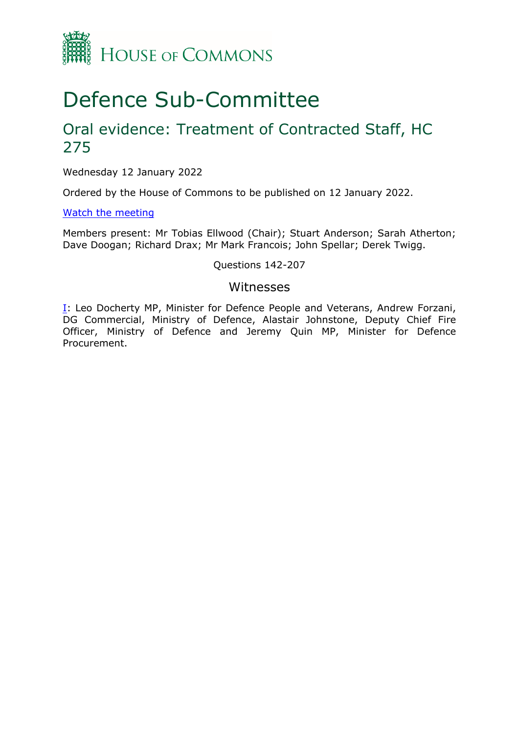

# Defence Sub-Committee

# Oral evidence: Treatment of Contracted Staff, HC 275

Wednesday 12 January 2022

Ordered by the House of Commons to be published on 12 January 2022.

[Watch](https://parliamentlive.tv/Event/Index/8bd28cc2-bec1-4549-b983-ea3790a85401) [the](https://parliamentlive.tv/Event/Index/8bd28cc2-bec1-4549-b983-ea3790a85401) [meeting](https://parliamentlive.tv/Event/Index/8bd28cc2-bec1-4549-b983-ea3790a85401)

Members present: Mr Tobias Ellwood (Chair); Stuart Anderson; Sarah Atherton; Dave Doogan; Richard Drax; Mr Mark Francois; John Spellar; Derek Twigg.

Questions 142-207

### Witnesses

[I:](#page-1-0) Leo Docherty MP, Minister for Defence People and Veterans, Andrew Forzani, DG Commercial, Ministry of Defence, Alastair Johnstone, Deputy Chief Fire Officer, Ministry of Defence and Jeremy Quin MP, Minister for Defence Procurement.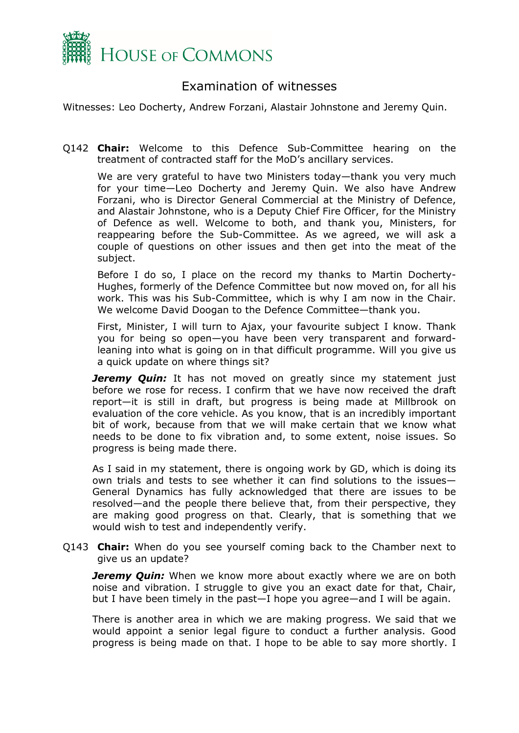

## <span id="page-1-0"></span>Examination of witnesses

Witnesses: Leo Docherty, Andrew Forzani, Alastair Johnstone and Jeremy Quin.

Q142 **Chair:** Welcome to this Defence Sub-Committee hearing on the treatment of contracted staff for the MoD's ancillary services.

We are very grateful to have two Ministers today—thank you very much for your time—Leo Docherty and Jeremy Quin. We also have Andrew Forzani, who is Director General Commercial at the Ministry of Defence, and Alastair Johnstone, who is a Deputy Chief Fire Officer, for the Ministry of Defence as well. Welcome to both, and thank you, Ministers, for reappearing before the Sub-Committee. As we agreed, we will ask a couple of questions on other issues and then get into the meat of the subject.

Before I do so, I place on the record my thanks to Martin Docherty-Hughes, formerly of the Defence Committee but now moved on, for all his work. This was his Sub-Committee, which is why I am now in the Chair. We welcome David Doogan to the Defence Committee—thank you.

First, Minister, I will turn to Ajax, your favourite subject I know. Thank you for being so open—you have been very transparent and forwardleaning into what is going on in that difficult programme. Will you give us a quick update on where things sit?

*Jeremy Quin:* It has not moved on greatly since my statement just before we rose for recess. I confirm that we have now received the draft report—it is still in draft, but progress is being made at Millbrook on evaluation of the core vehicle. As you know, that is an incredibly important bit of work, because from that we will make certain that we know what needs to be done to fix vibration and, to some extent, noise issues. So progress is being made there.

As I said in my statement, there is ongoing work by GD, which is doing its own trials and tests to see whether it can find solutions to the issues— General Dynamics has fully acknowledged that there are issues to be resolved—and the people there believe that, from their perspective, they are making good progress on that. Clearly, that is something that we would wish to test and independently verify.

Q143 **Chair:** When do you see yourself coming back to the Chamber next to give us an update?

*Jeremy Quin:* When we know more about exactly where we are on both noise and vibration. I struggle to give you an exact date for that, Chair, but I have been timely in the past—I hope you agree—and I will be again.

There is another area in which we are making progress. We said that we would appoint a senior legal figure to conduct a further analysis. Good progress is being made on that. I hope to be able to say more shortly. I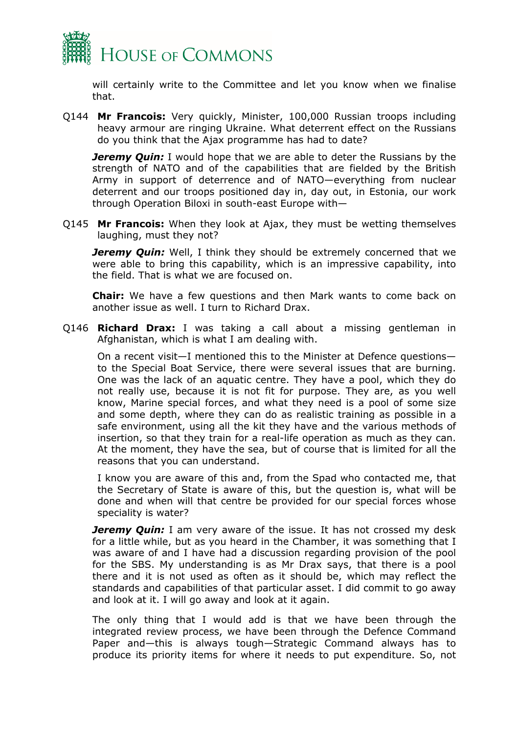

will certainly write to the Committee and let you know when we finalise that.

Q144 **Mr Francois:** Very quickly, Minister, 100,000 Russian troops including heavy armour are ringing Ukraine. What deterrent effect on the Russians do you think that the Ajax programme has had to date?

*Jeremy Quin:* I would hope that we are able to deter the Russians by the strength of NATO and of the capabilities that are fielded by the British Army in support of deterrence and of NATO—everything from nuclear deterrent and our troops positioned day in, day out, in Estonia, our work through Operation Biloxi in south-east Europe with—

Q145 **Mr Francois:** When they look at Ajax, they must be wetting themselves laughing, must they not?

*Jeremy Quin:* Well, I think they should be extremely concerned that we were able to bring this capability, which is an impressive capability, into the field. That is what we are focused on.

**Chair:** We have a few questions and then Mark wants to come back on another issue as well. I turn to Richard Drax.

Q146 **Richard Drax:** I was taking a call about a missing gentleman in Afghanistan, which is what I am dealing with.

On a recent visit—I mentioned this to the Minister at Defence questions to the Special Boat Service, there were several issues that are burning. One was the lack of an aquatic centre. They have a pool, which they do not really use, because it is not fit for purpose. They are, as you well know, Marine special forces, and what they need is a pool of some size and some depth, where they can do as realistic training as possible in a safe environment, using all the kit they have and the various methods of insertion, so that they train for a real-life operation as much as they can. At the moment, they have the sea, but of course that is limited for all the reasons that you can understand.

I know you are aware of this and, from the Spad who contacted me, that the Secretary of State is aware of this, but the question is, what will be done and when will that centre be provided for our special forces whose speciality is water?

*Jeremy Quin:* I am very aware of the issue. It has not crossed my desk for a little while, but as you heard in the Chamber, it was something that I was aware of and I have had a discussion regarding provision of the pool for the SBS. My understanding is as Mr Drax says, that there is a pool there and it is not used as often as it should be, which may reflect the standards and capabilities of that particular asset. I did commit to go away and look at it. I will go away and look at it again.

The only thing that I would add is that we have been through the integrated review process, we have been through the Defence Command Paper and—this is always tough—Strategic Command always has to produce its priority items for where it needs to put expenditure. So, not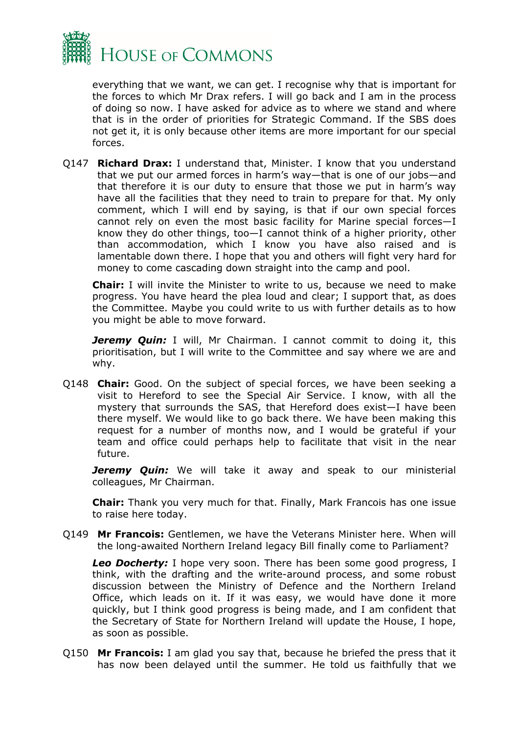

everything that we want, we can get. I recognise why that is important for the forces to which Mr Drax refers. I will go back and I am in the process of doing so now. I have asked for advice as to where we stand and where that is in the order of priorities for Strategic Command. If the SBS does not get it, it is only because other items are more important for our special forces.

Q147 **Richard Drax:** I understand that, Minister. I know that you understand that we put our armed forces in harm's way—that is one of our jobs—and that therefore it is our duty to ensure that those we put in harm's way have all the facilities that they need to train to prepare for that. My only comment, which I will end by saying, is that if our own special forces cannot rely on even the most basic facility for Marine special forces—I know they do other things, too—I cannot think of a higher priority, other than accommodation, which I know you have also raised and is lamentable down there. I hope that you and others will fight very hard for money to come cascading down straight into the camp and pool.

**Chair:** I will invite the Minister to write to us, because we need to make progress. You have heard the plea loud and clear; I support that, as does the Committee. Maybe you could write to us with further details as to how you might be able to move forward.

**Jeremy Quin:** I will, Mr Chairman. I cannot commit to doing it, this prioritisation, but I will write to the Committee and say where we are and why.

Q148 **Chair:** Good. On the subject of special forces, we have been seeking a visit to Hereford to see the Special Air Service. I know, with all the mystery that surrounds the SAS, that Hereford does exist—I have been there myself. We would like to go back there. We have been making this request for a number of months now, and I would be grateful if your team and office could perhaps help to facilitate that visit in the near future.

**Jeremy Quin:** We will take it away and speak to our ministerial colleagues, Mr Chairman.

**Chair:** Thank you very much for that. Finally, Mark Francois has one issue to raise here today.

Q149 **Mr Francois:** Gentlemen, we have the Veterans Minister here. When will the long-awaited Northern Ireland legacy Bill finally come to Parliament?

*Leo Docherty:* I hope very soon. There has been some good progress, I think, with the drafting and the write-around process, and some robust discussion between the Ministry of Defence and the Northern Ireland Office, which leads on it. If it was easy, we would have done it more quickly, but I think good progress is being made, and I am confident that the Secretary of State for Northern Ireland will update the House, I hope, as soon as possible.

Q150 **Mr Francois:** I am glad you say that, because he briefed the press that it has now been delayed until the summer. He told us faithfully that we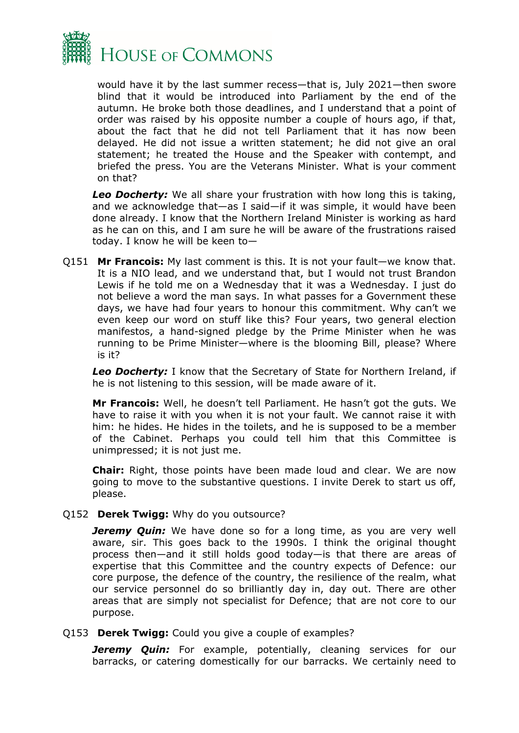

would have it by the last summer recess—that is, July 2021—then swore blind that it would be introduced into Parliament by the end of the autumn. He broke both those deadlines, and I understand that a point of order was raised by his opposite number a couple of hours ago, if that, about the fact that he did not tell Parliament that it has now been delayed. He did not issue a written statement; he did not give an oral statement; he treated the House and the Speaker with contempt, and briefed the press. You are the Veterans Minister. What is your comment on that?

*Leo Docherty:* We all share your frustration with how long this is taking, and we acknowledge that—as I said—if it was simple, it would have been done already. I know that the Northern Ireland Minister is working as hard as he can on this, and I am sure he will be aware of the frustrations raised today. I know he will be keen to—

Q151 **Mr Francois:** My last comment is this. It is not your fault—we know that. It is a NIO lead, and we understand that, but I would not trust Brandon Lewis if he told me on a Wednesday that it was a Wednesday. I just do not believe a word the man says. In what passes for a Government these days, we have had four years to honour this commitment. Why can't we even keep our word on stuff like this? Four years, two general election manifestos, a hand-signed pledge by the Prime Minister when he was running to be Prime Minister—where is the blooming Bill, please? Where is it?

*Leo Docherty:* I know that the Secretary of State for Northern Ireland, if he is not listening to this session, will be made aware of it.

**Mr Francois:** Well, he doesn't tell Parliament. He hasn't got the guts. We have to raise it with you when it is not your fault. We cannot raise it with him: he hides. He hides in the toilets, and he is supposed to be a member of the Cabinet. Perhaps you could tell him that this Committee is unimpressed; it is not just me.

**Chair:** Right, those points have been made loud and clear. We are now going to move to the substantive questions. I invite Derek to start us off, please.

Q152 **Derek Twigg:** Why do you outsource?

*Jeremy Quin:* We have done so for a long time, as you are very well aware, sir. This goes back to the 1990s. I think the original thought process then—and it still holds good today—is that there are areas of expertise that this Committee and the country expects of Defence: our core purpose, the defence of the country, the resilience of the realm, what our service personnel do so brilliantly day in, day out. There are other areas that are simply not specialist for Defence; that are not core to our purpose.

Q153 **Derek Twigg:** Could you give a couple of examples?

**Jeremy Quin:** For example, potentially, cleaning services for our barracks, or catering domestically for our barracks. We certainly need to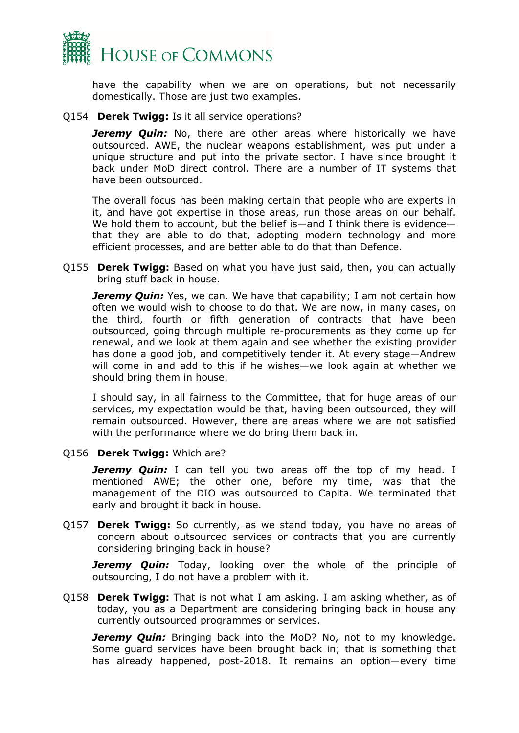

have the capability when we are on operations, but not necessarily domestically. Those are just two examples.

#### Q154 **Derek Twigg:** Is it all service operations?

*Jeremy Quin:* No, there are other areas where historically we have outsourced. AWE, the nuclear weapons establishment, was put under a unique structure and put into the private sector. I have since brought it back under MoD direct control. There are a number of IT systems that have been outsourced.

The overall focus has been making certain that people who are experts in it, and have got expertise in those areas, run those areas on our behalf. We hold them to account, but the belief is—and I think there is evidence that they are able to do that, adopting modern technology and more efficient processes, and are better able to do that than Defence.

Q155 **Derek Twigg:** Based on what you have just said, then, you can actually bring stuff back in house.

**Jeremy Quin:** Yes, we can. We have that capability; I am not certain how often we would wish to choose to do that. We are now, in many cases, on the third, fourth or fifth generation of contracts that have been outsourced, going through multiple re-procurements as they come up for renewal, and we look at them again and see whether the existing provider has done a good job, and competitively tender it. At every stage—Andrew will come in and add to this if he wishes—we look again at whether we should bring them in house.

I should say, in all fairness to the Committee, that for huge areas of our services, my expectation would be that, having been outsourced, they will remain outsourced. However, there are areas where we are not satisfied with the performance where we do bring them back in.

#### Q156 **Derek Twigg:** Which are?

**Jeremy Quin:** I can tell you two areas off the top of my head. I mentioned AWE; the other one, before my time, was that the management of the DIO was outsourced to Capita. We terminated that early and brought it back in house.

Q157 **Derek Twigg:** So currently, as we stand today, you have no areas of concern about outsourced services or contracts that you are currently considering bringing back in house?

**Jeremy Quin:** Today, looking over the whole of the principle of outsourcing, I do not have a problem with it.

Q158 **Derek Twigg:** That is not what I am asking. I am asking whether, as of today, you as a Department are considering bringing back in house any currently outsourced programmes or services.

*Jeremy Quin:* Bringing back into the MoD? No, not to my knowledge. Some guard services have been brought back in; that is something that has already happened, post-2018. It remains an option—every time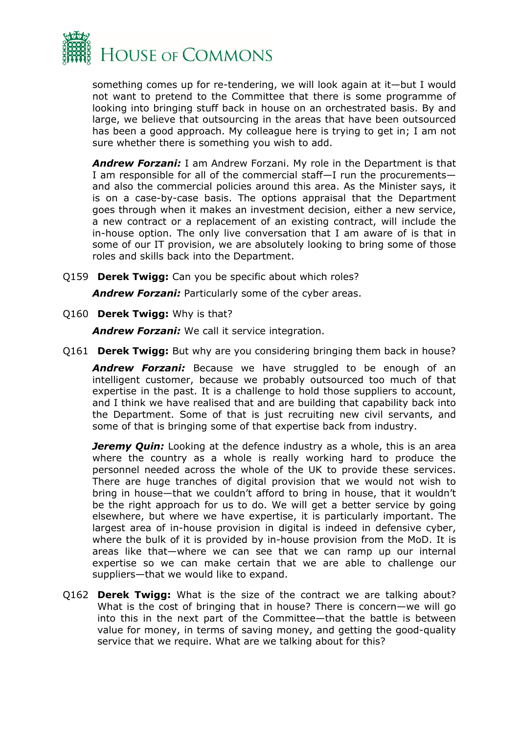

something comes up for re-tendering, we will look again at it—but I would not want to pretend to the Committee that there is some programme of looking into bringing stuff back in house on an orchestrated basis. By and large, we believe that outsourcing in the areas that have been outsourced has been a good approach. My colleague here is trying to get in; I am not sure whether there is something you wish to add.

*Andrew Forzani:* I am Andrew Forzani. My role in the Department is that I am responsible for all of the commercial staff—I run the procurements and also the commercial policies around this area. As the Minister says, it is on a case-by-case basis. The options appraisal that the Department goes through when it makes an investment decision, either a new service, a new contract or a replacement of an existing contract, will include the in-house option. The only live conversation that I am aware of is that in some of our IT provision, we are absolutely looking to bring some of those roles and skills back into the Department.

Q159 **Derek Twigg:** Can you be specific about which roles?

*Andrew Forzani:* Particularly some of the cyber areas.

Q160 **Derek Twigg:** Why is that?

*Andrew Forzani:* We call it service integration.

Q161 **Derek Twigg:** But why are you considering bringing them back in house?

*Andrew Forzani:* Because we have struggled to be enough of an intelligent customer, because we probably outsourced too much of that expertise in the past. It is a challenge to hold those suppliers to account, and I think we have realised that and are building that capability back into the Department. Some of that is just recruiting new civil servants, and some of that is bringing some of that expertise back from industry.

*Jeremy Quin:* Looking at the defence industry as a whole, this is an area where the country as a whole is really working hard to produce the personnel needed across the whole of the UK to provide these services. There are huge tranches of digital provision that we would not wish to bring in house—that we couldn't afford to bring in house, that it wouldn't be the right approach for us to do. We will get a better service by going elsewhere, but where we have expertise, it is particularly important. The largest area of in-house provision in digital is indeed in defensive cyber, where the bulk of it is provided by in-house provision from the MoD. It is areas like that—where we can see that we can ramp up our internal expertise so we can make certain that we are able to challenge our suppliers—that we would like to expand.

Q162 **Derek Twigg:** What is the size of the contract we are talking about? What is the cost of bringing that in house? There is concern—we will go into this in the next part of the Committee—that the battle is between value for money, in terms of saving money, and getting the good-quality service that we require. What are we talking about for this?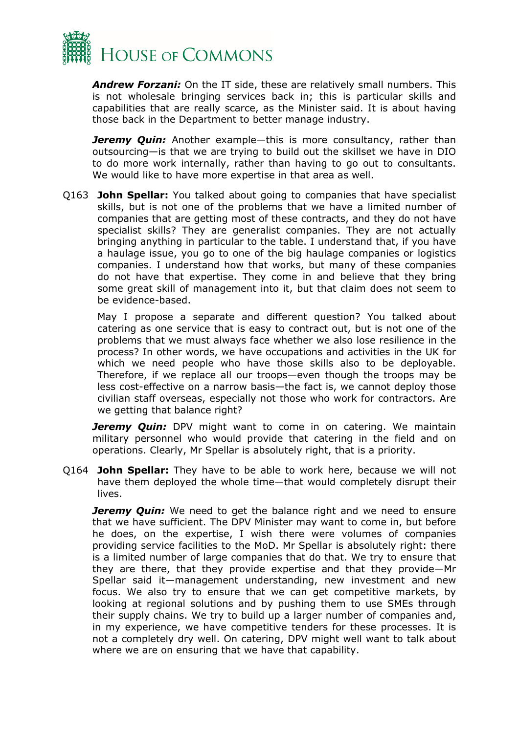

*Andrew Forzani:* On the IT side, these are relatively small numbers. This is not wholesale bringing services back in; this is particular skills and capabilities that are really scarce, as the Minister said. It is about having those back in the Department to better manage industry.

*Jeremy Quin:* Another example—this is more consultancy, rather than outsourcing—is that we are trying to build out the skillset we have in DIO to do more work internally, rather than having to go out to consultants. We would like to have more expertise in that area as well.

Q163 **John Spellar:** You talked about going to companies that have specialist skills, but is not one of the problems that we have a limited number of companies that are getting most of these contracts, and they do not have specialist skills? They are generalist companies. They are not actually bringing anything in particular to the table. I understand that, if you have a haulage issue, you go to one of the big haulage companies or logistics companies. I understand how that works, but many of these companies do not have that expertise. They come in and believe that they bring some great skill of management into it, but that claim does not seem to be evidence-based.

May I propose a separate and different question? You talked about catering as one service that is easy to contract out, but is not one of the problems that we must always face whether we also lose resilience in the process? In other words, we have occupations and activities in the UK for which we need people who have those skills also to be deployable. Therefore, if we replace all our troops—even though the troops may be less cost-effective on a narrow basis—the fact is, we cannot deploy those civilian staff overseas, especially not those who work for contractors. Are we getting that balance right?

*Jeremy Ouin:* DPV might want to come in on catering. We maintain military personnel who would provide that catering in the field and on operations. Clearly, Mr Spellar is absolutely right, that is a priority.

Q164 **John Spellar:** They have to be able to work here, because we will not have them deployed the whole time—that would completely disrupt their lives.

**Jeremy Quin:** We need to get the balance right and we need to ensure that we have sufficient. The DPV Minister may want to come in, but before he does, on the expertise, I wish there were volumes of companies providing service facilities to the MoD. Mr Spellar is absolutely right: there is a limited number of large companies that do that. We try to ensure that they are there, that they provide expertise and that they provide—Mr Spellar said it—management understanding, new investment and new focus. We also try to ensure that we can get competitive markets, by looking at regional solutions and by pushing them to use SMEs through their supply chains. We try to build up a larger number of companies and, in my experience, we have competitive tenders for these processes. It is not a completely dry well. On catering, DPV might well want to talk about where we are on ensuring that we have that capability.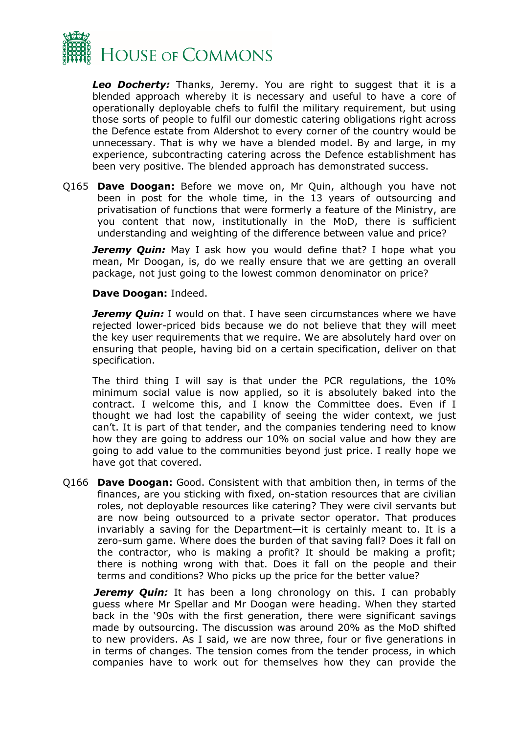

*Leo Docherty:* Thanks, Jeremy. You are right to suggest that it is a blended approach whereby it is necessary and useful to have a core of operationally deployable chefs to fulfil the military requirement, but using those sorts of people to fulfil our domestic catering obligations right across the Defence estate from Aldershot to every corner of the country would be unnecessary. That is why we have a blended model. By and large, in my experience, subcontracting catering across the Defence establishment has been very positive. The blended approach has demonstrated success.

Q165 **Dave Doogan:** Before we move on, Mr Quin, although you have not been in post for the whole time, in the 13 years of outsourcing and privatisation of functions that were formerly a feature of the Ministry, are you content that now, institutionally in the MoD, there is sufficient understanding and weighting of the difference between value and price?

**Jeremy Quin:** May I ask how you would define that? I hope what you mean, Mr Doogan, is, do we really ensure that we are getting an overall package, not just going to the lowest common denominator on price?

#### **Dave Doogan:** Indeed.

**Jeremy Quin:** I would on that. I have seen circumstances where we have rejected lower-priced bids because we do not believe that they will meet the key user requirements that we require. We are absolutely hard over on ensuring that people, having bid on a certain specification, deliver on that specification.

The third thing I will say is that under the PCR regulations, the 10% minimum social value is now applied, so it is absolutely baked into the contract. I welcome this, and I know the Committee does. Even if I thought we had lost the capability of seeing the wider context, we just can't. It is part of that tender, and the companies tendering need to know how they are going to address our 10% on social value and how they are going to add value to the communities beyond just price. I really hope we have got that covered.

Q166 **Dave Doogan:** Good. Consistent with that ambition then, in terms of the finances, are you sticking with fixed, on-station resources that are civilian roles, not deployable resources like catering? They were civil servants but are now being outsourced to a private sector operator. That produces invariably a saving for the Department—it is certainly meant to. It is a zero-sum game. Where does the burden of that saving fall? Does it fall on the contractor, who is making a profit? It should be making a profit; there is nothing wrong with that. Does it fall on the people and their terms and conditions? Who picks up the price for the better value?

*Jeremy Quin:* It has been a long chronology on this. I can probably guess where Mr Spellar and Mr Doogan were heading. When they started back in the '90s with the first generation, there were significant savings made by outsourcing. The discussion was around 20% as the MoD shifted to new providers. As I said, we are now three, four or five generations in in terms of changes. The tension comes from the tender process, in which companies have to work out for themselves how they can provide the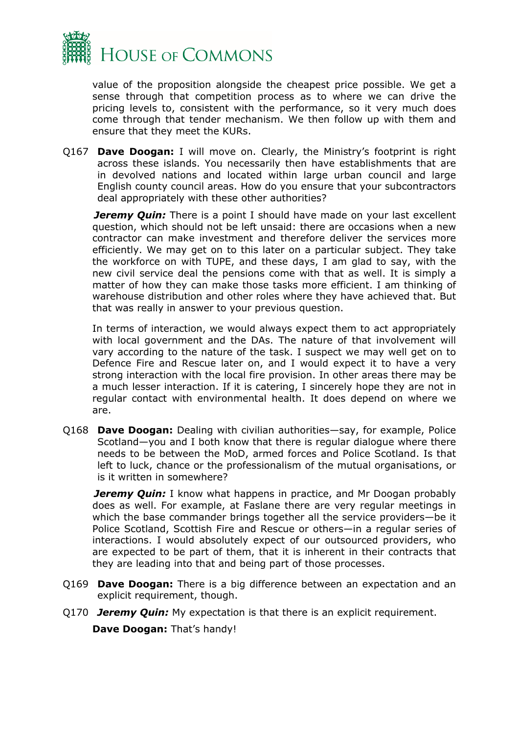

value of the proposition alongside the cheapest price possible. We get a sense through that competition process as to where we can drive the pricing levels to, consistent with the performance, so it very much does come through that tender mechanism. We then follow up with them and ensure that they meet the KURs.

Q167 **Dave Doogan:** I will move on. Clearly, the Ministry's footprint is right across these islands. You necessarily then have establishments that are in devolved nations and located within large urban council and large English county council areas. How do you ensure that your subcontractors deal appropriately with these other authorities?

*Jeremy Quin:* There is a point I should have made on your last excellent question, which should not be left unsaid: there are occasions when a new contractor can make investment and therefore deliver the services more efficiently. We may get on to this later on a particular subject. They take the workforce on with TUPE, and these days, I am glad to say, with the new civil service deal the pensions come with that as well. It is simply a matter of how they can make those tasks more efficient. I am thinking of warehouse distribution and other roles where they have achieved that. But that was really in answer to your previous question.

In terms of interaction, we would always expect them to act appropriately with local government and the DAs. The nature of that involvement will vary according to the nature of the task. I suspect we may well get on to Defence Fire and Rescue later on, and I would expect it to have a very strong interaction with the local fire provision. In other areas there may be a much lesser interaction. If it is catering, I sincerely hope they are not in regular contact with environmental health. It does depend on where we are.

Q168 **Dave Doogan:** Dealing with civilian authorities—say, for example, Police Scotland—you and I both know that there is regular dialogue where there needs to be between the MoD, armed forces and Police Scotland. Is that left to luck, chance or the professionalism of the mutual organisations, or is it written in somewhere?

*Jeremy Quin:* I know what happens in practice, and Mr Doogan probably does as well. For example, at Faslane there are very regular meetings in which the base commander brings together all the service providers—be it Police Scotland, Scottish Fire and Rescue or others—in a regular series of interactions. I would absolutely expect of our outsourced providers, who are expected to be part of them, that it is inherent in their contracts that they are leading into that and being part of those processes.

- Q169 **Dave Doogan:** There is a big difference between an expectation and an explicit requirement, though.
- Q170 *Jeremy Quin:* My expectation is that there is an explicit requirement. **Dave Doogan:** That's handy!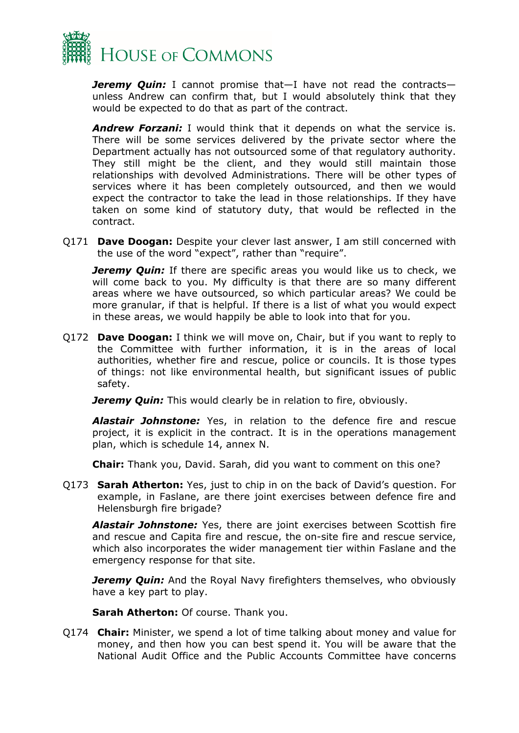

*Jeremy Quin:* I cannot promise that—I have not read the contracts unless Andrew can confirm that, but I would absolutely think that they would be expected to do that as part of the contract.

*Andrew Forzani:* I would think that it depends on what the service is. There will be some services delivered by the private sector where the Department actually has not outsourced some of that regulatory authority. They still might be the client, and they would still maintain those relationships with devolved Administrations. There will be other types of services where it has been completely outsourced, and then we would expect the contractor to take the lead in those relationships. If they have taken on some kind of statutory duty, that would be reflected in the contract.

Q171 **Dave Doogan:** Despite your clever last answer, I am still concerned with the use of the word "expect", rather than "require".

*Jeremy Quin:* If there are specific areas you would like us to check, we will come back to you. My difficulty is that there are so many different areas where we have outsourced, so which particular areas? We could be more granular, if that is helpful. If there is a list of what you would expect in these areas, we would happily be able to look into that for you.

Q172 **Dave Doogan:** I think we will move on, Chair, but if you want to reply to the Committee with further information, it is in the areas of local authorities, whether fire and rescue, police or councils. It is those types of things: not like environmental health, but significant issues of public safety.

*Jeremy Quin:* This would clearly be in relation to fire, obviously.

*Alastair Johnstone:* Yes, in relation to the defence fire and rescue project, it is explicit in the contract. It is in the operations management plan, which is schedule 14, annex N.

**Chair:** Thank you, David. Sarah, did you want to comment on this one?

Q173 **Sarah Atherton:** Yes, just to chip in on the back of David's question. For example, in Faslane, are there joint exercises between defence fire and Helensburgh fire brigade?

*Alastair Johnstone:* Yes, there are joint exercises between Scottish fire and rescue and Capita fire and rescue, the on-site fire and rescue service, which also incorporates the wider management tier within Faslane and the emergency response for that site.

*Jeremy Quin:* And the Royal Navy firefighters themselves, who obviously have a key part to play.

**Sarah Atherton:** Of course. Thank you.

Q174 **Chair:** Minister, we spend a lot of time talking about money and value for money, and then how you can best spend it. You will be aware that the National Audit Office and the Public Accounts Committee have concerns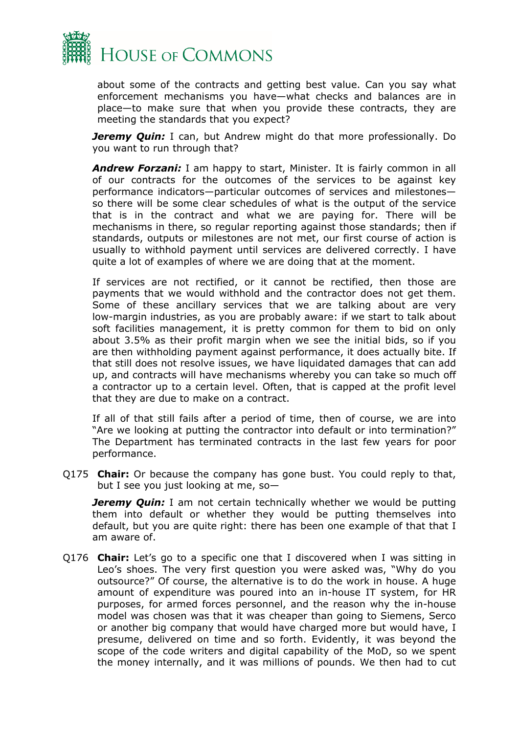

about some of the contracts and getting best value. Can you say what enforcement mechanisms you have—what checks and balances are in place—to make sure that when you provide these contracts, they are meeting the standards that you expect?

*Jeremy Quin:* I can, but Andrew might do that more professionally. Do you want to run through that?

*Andrew Forzani:* I am happy to start, Minister. It is fairly common in all of our contracts for the outcomes of the services to be against key performance indicators—particular outcomes of services and milestones so there will be some clear schedules of what is the output of the service that is in the contract and what we are paying for. There will be mechanisms in there, so regular reporting against those standards; then if standards, outputs or milestones are not met, our first course of action is usually to withhold payment until services are delivered correctly. I have quite a lot of examples of where we are doing that at the moment.

If services are not rectified, or it cannot be rectified, then those are payments that we would withhold and the contractor does not get them. Some of these ancillary services that we are talking about are very low-margin industries, as you are probably aware: if we start to talk about soft facilities management, it is pretty common for them to bid on only about 3.5% as their profit margin when we see the initial bids, so if you are then withholding payment against performance, it does actually bite. If that still does not resolve issues, we have liquidated damages that can add up, and contracts will have mechanisms whereby you can take so much off a contractor up to a certain level. Often, that is capped at the profit level that they are due to make on a contract.

If all of that still fails after a period of time, then of course, we are into "Are we looking at putting the contractor into default or into termination?" The Department has terminated contracts in the last few years for poor performance.

Q175 **Chair:** Or because the company has gone bust. You could reply to that, but I see you just looking at me, so—

*Jeremy Quin:* I am not certain technically whether we would be putting them into default or whether they would be putting themselves into default, but you are quite right: there has been one example of that that I am aware of.

Q176 **Chair:** Let's go to a specific one that I discovered when I was sitting in Leo's shoes. The very first question you were asked was, "Why do you outsource?" Of course, the alternative is to do the work in house. A huge amount of expenditure was poured into an in-house IT system, for HR purposes, for armed forces personnel, and the reason why the in-house model was chosen was that it was cheaper than going to Siemens, Serco or another big company that would have charged more but would have, I presume, delivered on time and so forth. Evidently, it was beyond the scope of the code writers and digital capability of the MoD, so we spent the money internally, and it was millions of pounds. We then had to cut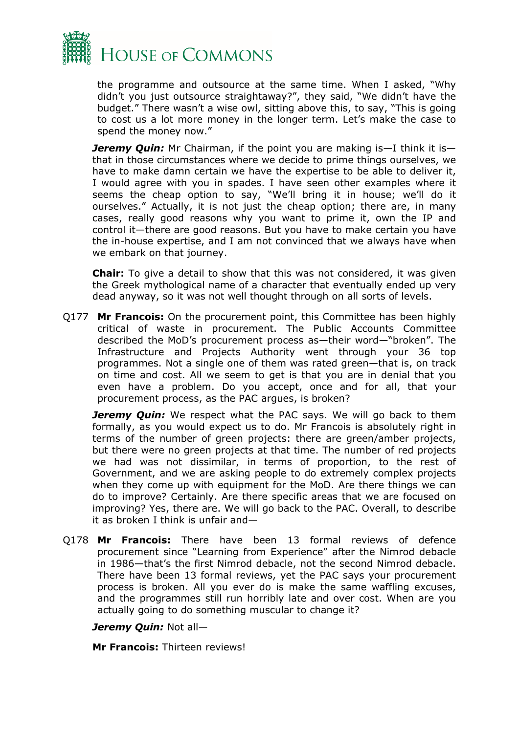

the programme and outsource at the same time. When I asked, "Why didn't you just outsource straightaway?", they said, "We didn't have the budget." There wasn't a wise owl, sitting above this, to say, "This is going to cost us a lot more money in the longer term. Let's make the case to spend the money now."

*Jeremy Quin:* Mr Chairman, if the point you are making is—I think it is that in those circumstances where we decide to prime things ourselves, we have to make damn certain we have the expertise to be able to deliver it, I would agree with you in spades. I have seen other examples where it seems the cheap option to say, "We'll bring it in house; we'll do it ourselves." Actually, it is not just the cheap option; there are, in many cases, really good reasons why you want to prime it, own the IP and control it—there are good reasons. But you have to make certain you have the in-house expertise, and I am not convinced that we always have when we embark on that journey.

**Chair:** To give a detail to show that this was not considered, it was given the Greek mythological name of a character that eventually ended up very dead anyway, so it was not well thought through on all sorts of levels.

Q177 **Mr Francois:** On the procurement point, this Committee has been highly critical of waste in procurement. The Public Accounts Committee described the MoD's procurement process as—their word—"broken". The Infrastructure and Projects Authority went through your 36 top programmes. Not a single one of them was rated green—that is, on track on time and cost. All we seem to get is that you are in denial that you even have a problem. Do you accept, once and for all, that your procurement process, as the PAC argues, is broken?

*Jeremy Ouin:* We respect what the PAC says. We will go back to them formally, as you would expect us to do. Mr Francois is absolutely right in terms of the number of green projects: there are green/amber projects, but there were no green projects at that time. The number of red projects we had was not dissimilar, in terms of proportion, to the rest of Government, and we are asking people to do extremely complex projects when they come up with equipment for the MoD. Are there things we can do to improve? Certainly. Are there specific areas that we are focused on improving? Yes, there are. We will go back to the PAC. Overall, to describe it as broken I think is unfair and—

Q178 **Mr Francois:** There have been 13 formal reviews of defence procurement since "Learning from Experience" after the Nimrod debacle in 1986—that's the first Nimrod debacle, not the second Nimrod debacle. There have been 13 formal reviews, yet the PAC says your procurement process is broken. All you ever do is make the same waffling excuses, and the programmes still run horribly late and over cost. When are you actually going to do something muscular to change it?

#### *Jeremy Quin:* Not all—

**Mr Francois:** Thirteen reviews!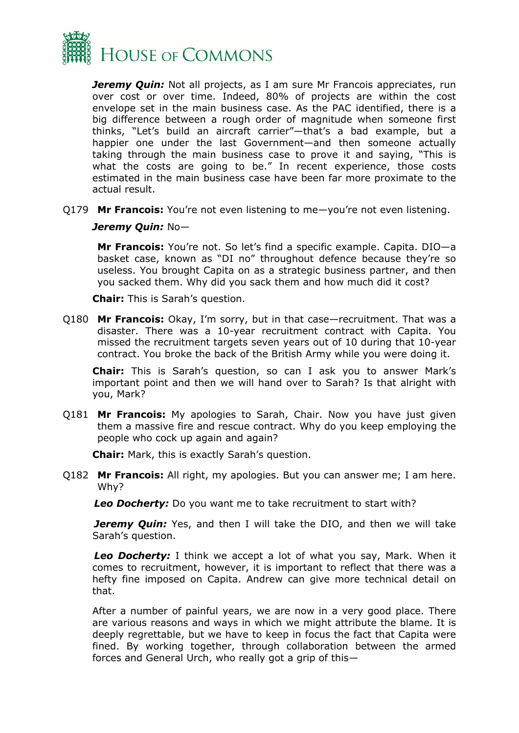

*Jeremy Quin:* Not all projects, as I am sure Mr Francois appreciates, run over cost or over time. Indeed, 80% of projects are within the cost envelope set in the main business case. As the PAC identified, there is a big difference between a rough order of magnitude when someone first thinks, "Let's build an aircraft carrier"—that's a bad example, but a happier one under the last Government—and then someone actually taking through the main business case to prove it and saying, "This is what the costs are going to be." In recent experience, those costs estimated in the main business case have been far more proximate to the actual result.

Q179 **Mr Francois:** You're not even listening to me—you're not even listening.

#### *Jeremy Quin:* No—

**Mr Francois:** You're not. So let's find a specific example. Capita. DIO—a basket case, known as "DI no" throughout defence because they're so useless. You brought Capita on as a strategic business partner, and then you sacked them. Why did you sack them and how much did it cost?

**Chair:** This is Sarah's question.

Q180 **Mr Francois:** Okay, I'm sorry, but in that case—recruitment. That was a disaster. There was a 10-year recruitment contract with Capita. You missed the recruitment targets seven years out of 10 during that 10-year contract. You broke the back of the British Army while you were doing it.

**Chair:** This is Sarah's question, so can I ask you to answer Mark's important point and then we will hand over to Sarah? Is that alright with you, Mark?

Q181 **Mr Francois:** My apologies to Sarah, Chair. Now you have just given them a massive fire and rescue contract. Why do you keep employing the people who cock up again and again?

**Chair:** Mark, this is exactly Sarah's question.

Q182 **Mr Francois:** All right, my apologies. But you can answer me; I am here. Why?

*Leo Docherty:* Do you want me to take recruitment to start with?

**Jeremy Quin:** Yes, and then I will take the DIO, and then we will take Sarah's question.

*Leo Docherty:* I think we accept a lot of what you say, Mark. When it comes to recruitment, however, it is important to reflect that there was a hefty fine imposed on Capita. Andrew can give more technical detail on that.

After a number of painful years, we are now in a very good place. There are various reasons and ways in which we might attribute the blame. It is deeply regrettable, but we have to keep in focus the fact that Capita were fined. By working together, through collaboration between the armed forces and General Urch, who really got a grip of this—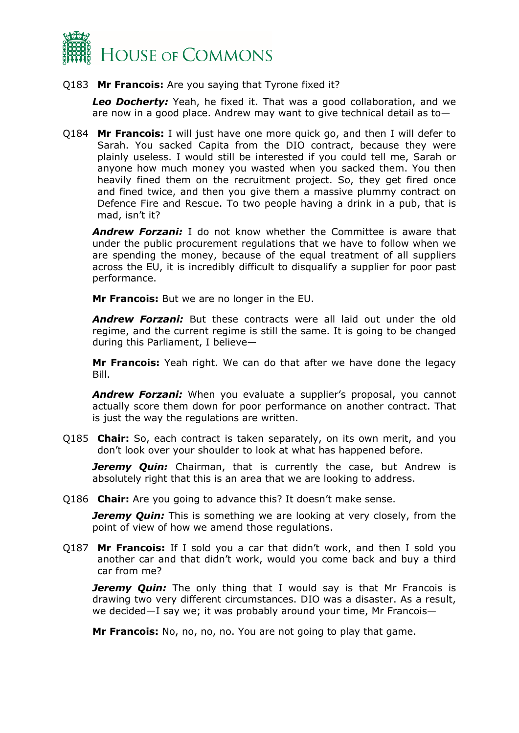

#### Q183 **Mr Francois:** Are you saying that Tyrone fixed it?

*Leo Docherty:* Yeah, he fixed it. That was a good collaboration, and we are now in a good place. Andrew may want to give technical detail as to—

Q184 **Mr Francois:** I will just have one more quick go, and then I will defer to Sarah. You sacked Capita from the DIO contract, because they were plainly useless. I would still be interested if you could tell me, Sarah or anyone how much money you wasted when you sacked them. You then heavily fined them on the recruitment project. So, they get fired once and fined twice, and then you give them a massive plummy contract on Defence Fire and Rescue. To two people having a drink in a pub, that is mad, isn't it?

*Andrew Forzani:* I do not know whether the Committee is aware that under the public procurement regulations that we have to follow when we are spending the money, because of the equal treatment of all suppliers across the EU, it is incredibly difficult to disqualify a supplier for poor past performance.

**Mr Francois:** But we are no longer in the EU.

*Andrew Forzani:* But these contracts were all laid out under the old regime, and the current regime is still the same. It is going to be changed during this Parliament, I believe—

**Mr Francois:** Yeah right. We can do that after we have done the legacy Bill.

*Andrew Forzani:* When you evaluate a supplier's proposal, you cannot actually score them down for poor performance on another contract. That is just the way the regulations are written.

Q185 **Chair:** So, each contract is taken separately, on its own merit, and you don't look over your shoulder to look at what has happened before.

**Jeremy Quin:** Chairman, that is currently the case, but Andrew is absolutely right that this is an area that we are looking to address.

Q186 **Chair:** Are you going to advance this? It doesn't make sense.

*Jeremy Quin:* This is something we are looking at very closely, from the point of view of how we amend those regulations.

Q187 **Mr Francois:** If I sold you a car that didn't work, and then I sold you another car and that didn't work, would you come back and buy a third car from me?

*Jeremy Quin:* The only thing that I would say is that Mr Francois is drawing two very different circumstances. DIO was a disaster. As a result, we decided—I say we; it was probably around your time, Mr Francois—

**Mr Francois:** No, no, no, no. You are not going to play that game.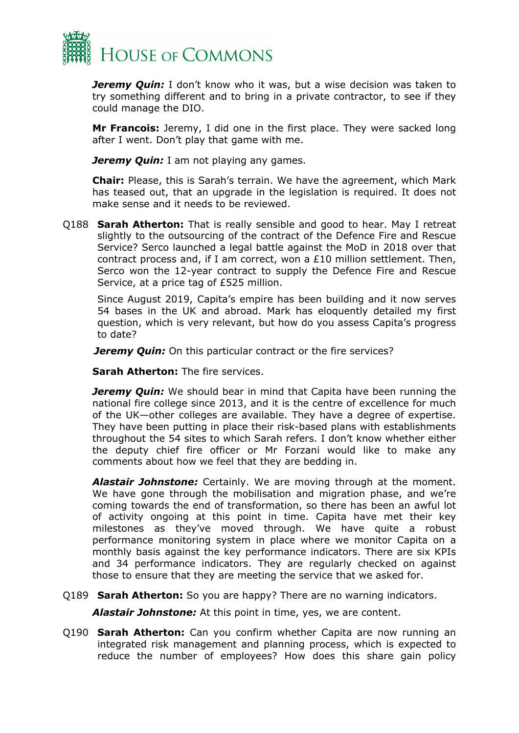

*Jeremy Quin:* I don't know who it was, but a wise decision was taken to try something different and to bring in a private contractor, to see if they could manage the DIO.

**Mr Francois:** Jeremy, I did one in the first place. They were sacked long after I went. Don't play that game with me.

*Jeremy Quin:* I am not playing any games.

**Chair:** Please, this is Sarah's terrain. We have the agreement, which Mark has teased out, that an upgrade in the legislation is required. It does not make sense and it needs to be reviewed.

Q188 **Sarah Atherton:** That is really sensible and good to hear. May I retreat slightly to the outsourcing of the contract of the Defence Fire and Rescue Service? Serco launched a legal battle against the MoD in 2018 over that contract process and, if I am correct, won a £10 million settlement. Then, Serco won the 12-year contract to supply the Defence Fire and Rescue Service, at a price tag of £525 million.

Since August 2019, Capita's empire has been building and it now serves 54 bases in the UK and abroad. Mark has eloquently detailed my first question, which is very relevant, but how do you assess Capita's progress to date?

*Jeremy Quin:* On this particular contract or the fire services?

**Sarah Atherton:** The fire services.

*Jeremy Quin:* We should bear in mind that Capita have been running the national fire college since 2013, and it is the centre of excellence for much of the UK—other colleges are available. They have a degree of expertise. They have been putting in place their risk-based plans with establishments throughout the 54 sites to which Sarah refers. I don't know whether either the deputy chief fire officer or Mr Forzani would like to make any comments about how we feel that they are bedding in.

*Alastair Johnstone:* Certainly. We are moving through at the moment. We have gone through the mobilisation and migration phase, and we're coming towards the end of transformation, so there has been an awful lot of activity ongoing at this point in time. Capita have met their key milestones as they've moved through. We have quite a robust performance monitoring system in place where we monitor Capita on a monthly basis against the key performance indicators. There are six KPIs and 34 performance indicators. They are regularly checked on against those to ensure that they are meeting the service that we asked for.

Q189 **Sarah Atherton:** So you are happy? There are no warning indicators.

*Alastair Johnstone:* At this point in time, yes, we are content.

Q190 **Sarah Atherton:** Can you confirm whether Capita are now running an integrated risk management and planning process, which is expected to reduce the number of employees? How does this share gain policy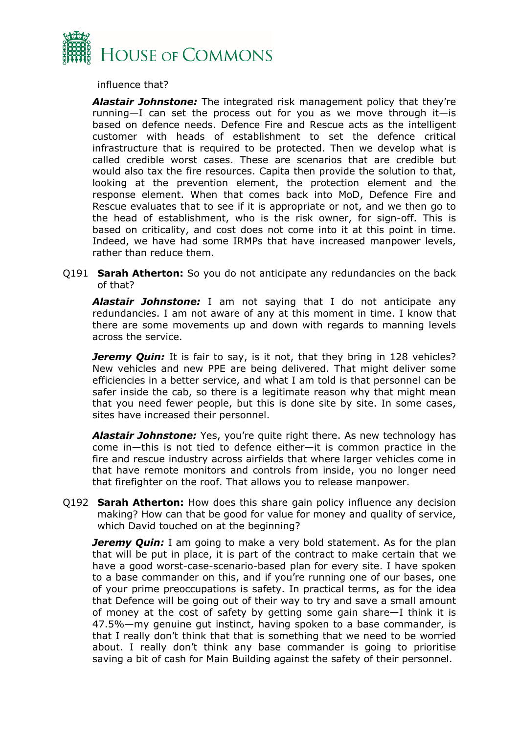

influence that?

*Alastair Johnstone:* The integrated risk management policy that they're running—I can set the process out for you as we move through it—is based on defence needs. Defence Fire and Rescue acts as the intelligent customer with heads of establishment to set the defence critical infrastructure that is required to be protected. Then we develop what is called credible worst cases. These are scenarios that are credible but would also tax the fire resources. Capita then provide the solution to that, looking at the prevention element, the protection element and the response element. When that comes back into MoD, Defence Fire and Rescue evaluates that to see if it is appropriate or not, and we then go to the head of establishment, who is the risk owner, for sign-off. This is based on criticality, and cost does not come into it at this point in time. Indeed, we have had some IRMPs that have increased manpower levels, rather than reduce them.

Q191 **Sarah Atherton:** So you do not anticipate any redundancies on the back of that?

*Alastair Johnstone:* I am not saying that I do not anticipate any redundancies. I am not aware of any at this moment in time. I know that there are some movements up and down with regards to manning levels across the service.

*Jeremy Quin:* It is fair to say, is it not, that they bring in 128 vehicles? New vehicles and new PPE are being delivered. That might deliver some efficiencies in a better service, and what I am told is that personnel can be safer inside the cab, so there is a legitimate reason why that might mean that you need fewer people, but this is done site by site. In some cases, sites have increased their personnel.

*Alastair Johnstone:* Yes, you're quite right there. As new technology has come in—this is not tied to defence either—it is common practice in the fire and rescue industry across airfields that where larger vehicles come in that have remote monitors and controls from inside, you no longer need that firefighter on the roof. That allows you to release manpower.

Q192 **Sarah Atherton:** How does this share gain policy influence any decision making? How can that be good for value for money and quality of service, which David touched on at the beginning?

*Jeremy Quin:* I am going to make a very bold statement. As for the plan that will be put in place, it is part of the contract to make certain that we have a good worst-case-scenario-based plan for every site. I have spoken to a base commander on this, and if you're running one of our bases, one of your prime preoccupations is safety. In practical terms, as for the idea that Defence will be going out of their way to try and save a small amount of money at the cost of safety by getting some gain share—I think it is 47.5%—my genuine gut instinct, having spoken to a base commander, is that I really don't think that that is something that we need to be worried about. I really don't think any base commander is going to prioritise saving a bit of cash for Main Building against the safety of their personnel.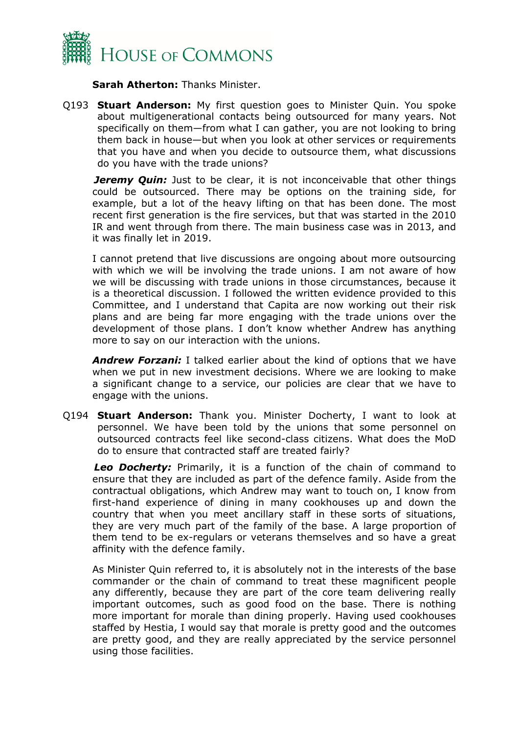

**Sarah Atherton:** Thanks Minister.

Q193 **Stuart Anderson:** My first question goes to Minister Quin. You spoke about multigenerational contacts being outsourced for many years. Not specifically on them—from what I can gather, you are not looking to bring them back in house—but when you look at other services or requirements that you have and when you decide to outsource them, what discussions do you have with the trade unions?

*Jeremy Quin:* Just to be clear, it is not inconceivable that other things could be outsourced. There may be options on the training side, for example, but a lot of the heavy lifting on that has been done. The most recent first generation is the fire services, but that was started in the 2010 IR and went through from there. The main business case was in 2013, and it was finally let in 2019.

I cannot pretend that live discussions are ongoing about more outsourcing with which we will be involving the trade unions. I am not aware of how we will be discussing with trade unions in those circumstances, because it is a theoretical discussion. I followed the written evidence provided to this Committee, and I understand that Capita are now working out their risk plans and are being far more engaging with the trade unions over the development of those plans. I don't know whether Andrew has anything more to say on our interaction with the unions.

*Andrew Forzani:* I talked earlier about the kind of options that we have when we put in new investment decisions. Where we are looking to make a significant change to a service, our policies are clear that we have to engage with the unions.

Q194 **Stuart Anderson:** Thank you. Minister Docherty, I want to look at personnel. We have been told by the unions that some personnel on outsourced contracts feel like second-class citizens. What does the MoD do to ensure that contracted staff are treated fairly?

*Leo Docherty:* Primarily, it is a function of the chain of command to ensure that they are included as part of the defence family. Aside from the contractual obligations, which Andrew may want to touch on, I know from first-hand experience of dining in many cookhouses up and down the country that when you meet ancillary staff in these sorts of situations, they are very much part of the family of the base. A large proportion of them tend to be ex-regulars or veterans themselves and so have a great affinity with the defence family.

As Minister Quin referred to, it is absolutely not in the interests of the base commander or the chain of command to treat these magnificent people any differently, because they are part of the core team delivering really important outcomes, such as good food on the base. There is nothing more important for morale than dining properly. Having used cookhouses staffed by Hestia, I would say that morale is pretty good and the outcomes are pretty good, and they are really appreciated by the service personnel using those facilities.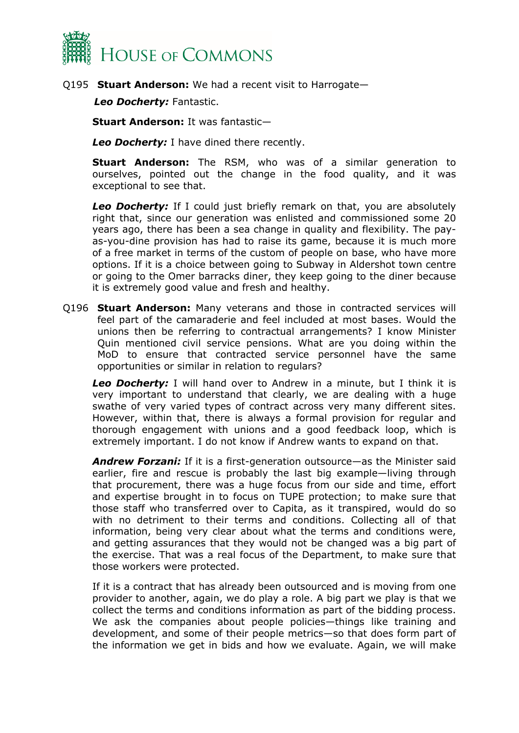

Q195 **Stuart Anderson:** We had a recent visit to Harrogate—

*Leo Docherty:* Fantastic.

**Stuart Anderson:** It was fantastic—

*Leo Docherty:* I have dined there recently.

**Stuart Anderson:** The RSM, who was of a similar generation to ourselves, pointed out the change in the food quality, and it was exceptional to see that.

*Leo Docherty:* If I could just briefly remark on that, you are absolutely right that, since our generation was enlisted and commissioned some 20 years ago, there has been a sea change in quality and flexibility. The payas-you-dine provision has had to raise its game, because it is much more of a free market in terms of the custom of people on base, who have more options. If it is a choice between going to Subway in Aldershot town centre or going to the Omer barracks diner, they keep going to the diner because it is extremely good value and fresh and healthy.

Q196 **Stuart Anderson:** Many veterans and those in contracted services will feel part of the camaraderie and feel included at most bases. Would the unions then be referring to contractual arrangements? I know Minister Quin mentioned civil service pensions. What are you doing within the MoD to ensure that contracted service personnel have the same opportunities or similar in relation to regulars?

*Leo Docherty:* I will hand over to Andrew in a minute, but I think it is very important to understand that clearly, we are dealing with a huge swathe of very varied types of contract across very many different sites. However, within that, there is always a formal provision for regular and thorough engagement with unions and a good feedback loop, which is extremely important. I do not know if Andrew wants to expand on that.

*Andrew Forzani:* If it is a first-generation outsource—as the Minister said earlier, fire and rescue is probably the last big example—living through that procurement, there was a huge focus from our side and time, effort and expertise brought in to focus on TUPE protection; to make sure that those staff who transferred over to Capita, as it transpired, would do so with no detriment to their terms and conditions. Collecting all of that information, being very clear about what the terms and conditions were, and getting assurances that they would not be changed was a big part of the exercise. That was a real focus of the Department, to make sure that those workers were protected.

If it is a contract that has already been outsourced and is moving from one provider to another, again, we do play a role. A big part we play is that we collect the terms and conditions information as part of the bidding process. We ask the companies about people policies—things like training and development, and some of their people metrics—so that does form part of the information we get in bids and how we evaluate. Again, we will make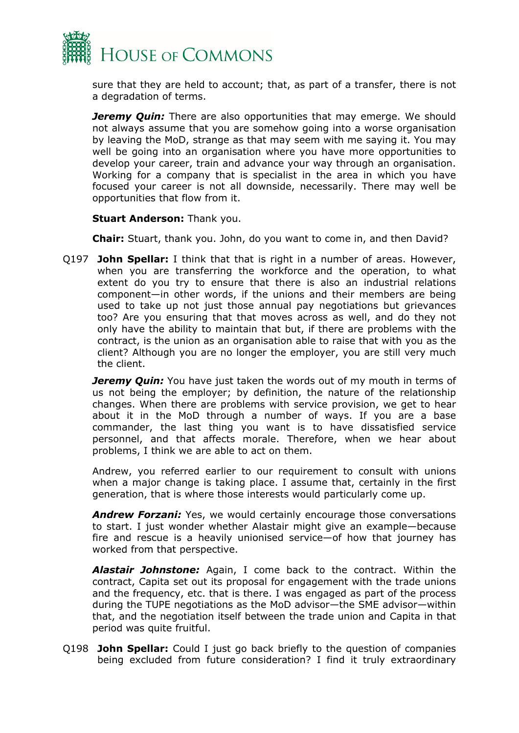

sure that they are held to account; that, as part of a transfer, there is not a degradation of terms.

*Jeremy Quin:* There are also opportunities that may emerge. We should not always assume that you are somehow going into a worse organisation by leaving the MoD, strange as that may seem with me saying it. You may well be going into an organisation where you have more opportunities to develop your career, train and advance your way through an organisation. Working for a company that is specialist in the area in which you have focused your career is not all downside, necessarily. There may well be opportunities that flow from it.

**Stuart Anderson:** Thank you.

**Chair:** Stuart, thank you. John, do you want to come in, and then David?

Q197 **John Spellar:** I think that that is right in a number of areas. However, when you are transferring the workforce and the operation, to what extent do you try to ensure that there is also an industrial relations component—in other words, if the unions and their members are being used to take up not just those annual pay negotiations but grievances too? Are you ensuring that that moves across as well, and do they not only have the ability to maintain that but, if there are problems with the contract, is the union as an organisation able to raise that with you as the client? Although you are no longer the employer, you are still very much the client.

*Jeremy Quin:* You have just taken the words out of my mouth in terms of us not being the employer; by definition, the nature of the relationship changes. When there are problems with service provision, we get to hear about it in the MoD through a number of ways. If you are a base commander, the last thing you want is to have dissatisfied service personnel, and that affects morale. Therefore, when we hear about problems, I think we are able to act on them.

Andrew, you referred earlier to our requirement to consult with unions when a major change is taking place. I assume that, certainly in the first generation, that is where those interests would particularly come up.

*Andrew Forzani:* Yes, we would certainly encourage those conversations to start. I just wonder whether Alastair might give an example—because fire and rescue is a heavily unionised service—of how that journey has worked from that perspective.

*Alastair Johnstone:* Again, I come back to the contract. Within the contract, Capita set out its proposal for engagement with the trade unions and the frequency, etc. that is there. I was engaged as part of the process during the TUPE negotiations as the MoD advisor—the SME advisor—within that, and the negotiation itself between the trade union and Capita in that period was quite fruitful.

Q198 **John Spellar:** Could I just go back briefly to the question of companies being excluded from future consideration? I find it truly extraordinary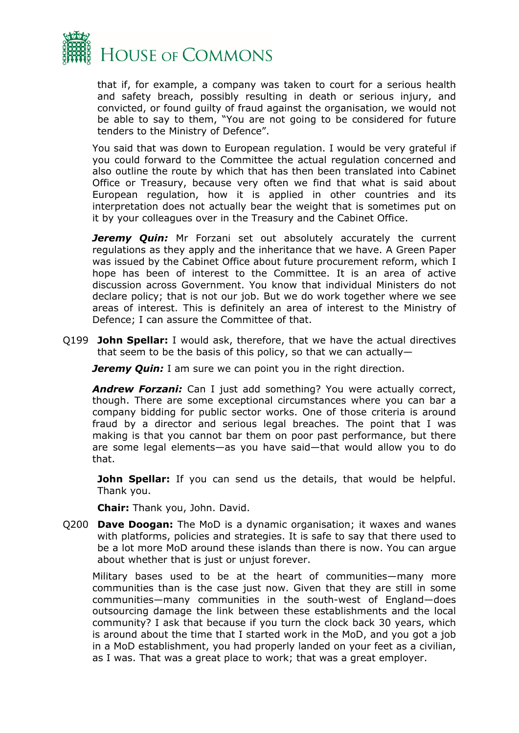

that if, for example, a company was taken to court for a serious health and safety breach, possibly resulting in death or serious injury, and convicted, or found guilty of fraud against the organisation, we would not be able to say to them, "You are not going to be considered for future tenders to the Ministry of Defence".

You said that was down to European regulation. I would be very grateful if you could forward to the Committee the actual regulation concerned and also outline the route by which that has then been translated into Cabinet Office or Treasury, because very often we find that what is said about European regulation, how it is applied in other countries and its interpretation does not actually bear the weight that is sometimes put on it by your colleagues over in the Treasury and the Cabinet Office.

**Jeremy Quin:** Mr Forzani set out absolutely accurately the current regulations as they apply and the inheritance that we have. A Green Paper was issued by the Cabinet Office about future procurement reform, which I hope has been of interest to the Committee. It is an area of active discussion across Government. You know that individual Ministers do not declare policy; that is not our job. But we do work together where we see areas of interest. This is definitely an area of interest to the Ministry of Defence; I can assure the Committee of that.

Q199 **John Spellar:** I would ask, therefore, that we have the actual directives that seem to be the basis of this policy, so that we can actually—

*Jeremy Quin:* I am sure we can point you in the right direction.

*Andrew Forzani:* Can I just add something? You were actually correct, though. There are some exceptional circumstances where you can bar a company bidding for public sector works. One of those criteria is around fraud by a director and serious legal breaches. The point that I was making is that you cannot bar them on poor past performance, but there are some legal elements—as you have said—that would allow you to do that.

**John Spellar:** If you can send us the details, that would be helpful. Thank you.

**Chair:** Thank you, John. David.

Q200 **Dave Doogan:** The MoD is a dynamic organisation; it waxes and wanes with platforms, policies and strategies. It is safe to say that there used to be a lot more MoD around these islands than there is now. You can argue about whether that is just or unjust forever.

Military bases used to be at the heart of communities—many more communities than is the case just now. Given that they are still in some communities—many communities in the south-west of England—does outsourcing damage the link between these establishments and the local community? I ask that because if you turn the clock back 30 years, which is around about the time that I started work in the MoD, and you got a job in a MoD establishment, you had properly landed on your feet as a civilian, as I was. That was a great place to work; that was a great employer.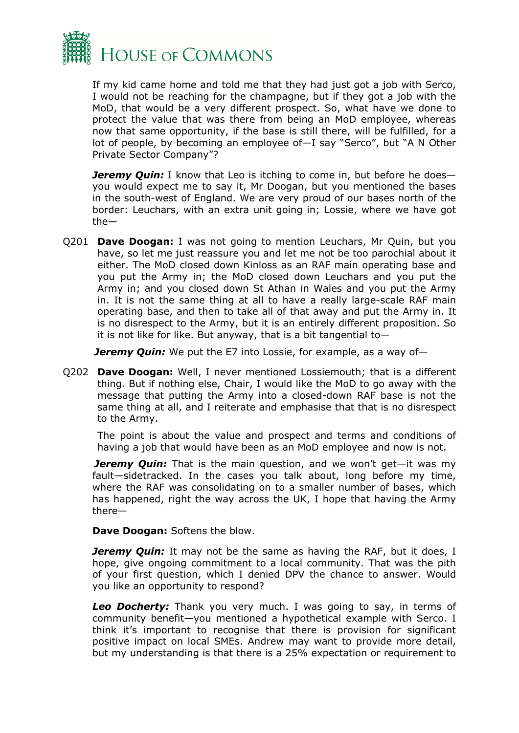

If my kid came home and told me that they had just got a job with Serco, I would not be reaching for the champagne, but if they got a job with the MoD, that would be a very different prospect. So, what have we done to protect the value that was there from being an MoD employee, whereas now that same opportunity, if the base is still there, will be fulfilled, for a lot of people, by becoming an employee of—I say "Serco", but "A N Other Private Sector Company"?

*Jeremy Quin:* I know that Leo is itching to come in, but before he does you would expect me to say it, Mr Doogan, but you mentioned the bases in the south-west of England. We are very proud of our bases north of the border: Leuchars, with an extra unit going in; Lossie, where we have got the—

Q201 **Dave Doogan:** I was not going to mention Leuchars, Mr Quin, but you have, so let me just reassure you and let me not be too parochial about it either. The MoD closed down Kinloss as an RAF main operating base and you put the Army in; the MoD closed down Leuchars and you put the Army in; and you closed down St Athan in Wales and you put the Army in. It is not the same thing at all to have a really large-scale RAF main operating base, and then to take all of that away and put the Army in. It is no disrespect to the Army, but it is an entirely different proposition. So it is not like for like. But anyway, that is a bit tangential to—

*Jeremy Quin:* We put the E7 into Lossie, for example, as a way of—

Q202 **Dave Doogan:** Well, I never mentioned Lossiemouth; that is a different thing. But if nothing else, Chair, I would like the MoD to go away with the message that putting the Army into a closed-down RAF base is not the same thing at all, and I reiterate and emphasise that that is no disrespect to the Army.

The point is about the value and prospect and terms and conditions of having a job that would have been as an MoD employee and now is not.

*Jeremy Quin:* That is the main question, and we won't get—it was my fault—sidetracked. In the cases you talk about, long before my time, where the RAF was consolidating on to a smaller number of bases, which has happened, right the way across the UK, I hope that having the Army there—

**Dave Doogan:** Softens the blow.

*Jeremy Quin:* It may not be the same as having the RAF, but it does, I hope, give ongoing commitment to a local community. That was the pith of your first question, which I denied DPV the chance to answer. Would you like an opportunity to respond?

*Leo Docherty:* Thank you very much. I was going to say, in terms of community benefit—you mentioned a hypothetical example with Serco. I think it's important to recognise that there is provision for significant positive impact on local SMEs. Andrew may want to provide more detail, but my understanding is that there is a 25% expectation or requirement to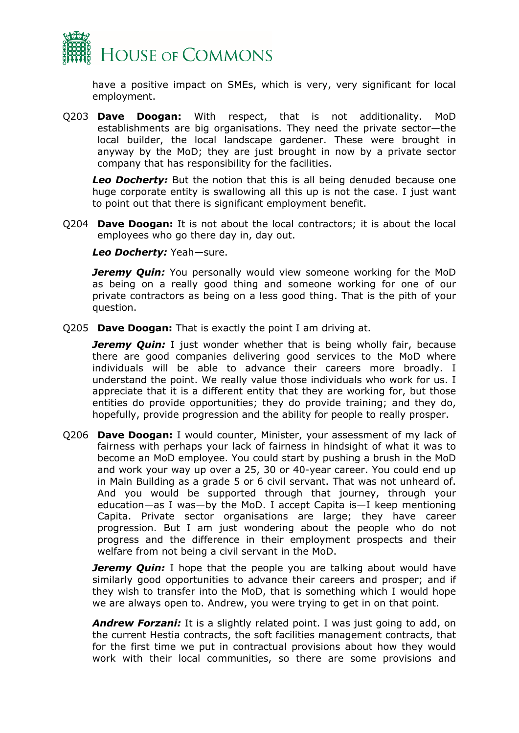

have a positive impact on SMEs, which is very, very significant for local employment.

Q203 **Dave Doogan:** With respect, that is not additionality. MoD establishments are big organisations. They need the private sector—the local builder, the local landscape gardener. These were brought in anyway by the MoD; they are just brought in now by a private sector company that has responsibility for the facilities.

*Leo Docherty:* But the notion that this is all being denuded because one huge corporate entity is swallowing all this up is not the case. I just want to point out that there is significant employment benefit.

Q204 **Dave Doogan:** It is not about the local contractors; it is about the local employees who go there day in, day out.

*Leo Docherty:* Yeah—sure.

*Jeremy Quin:* You personally would view someone working for the MoD as being on a really good thing and someone working for one of our private contractors as being on a less good thing. That is the pith of your question.

Q205 **Dave Doogan:** That is exactly the point I am driving at.

*Jeremy Quin:* I just wonder whether that is being wholly fair, because there are good companies delivering good services to the MoD where individuals will be able to advance their careers more broadly. I understand the point. We really value those individuals who work for us. I appreciate that it is a different entity that they are working for, but those entities do provide opportunities; they do provide training; and they do, hopefully, provide progression and the ability for people to really prosper.

Q206 **Dave Doogan:** I would counter, Minister, your assessment of my lack of fairness with perhaps your lack of fairness in hindsight of what it was to become an MoD employee. You could start by pushing a brush in the MoD and work your way up over a 25, 30 or 40-year career. You could end up in Main Building as a grade 5 or 6 civil servant. That was not unheard of. And you would be supported through that journey, through your education—as I was—by the MoD. I accept Capita is—I keep mentioning Capita. Private sector organisations are large; they have career progression. But I am just wondering about the people who do not progress and the difference in their employment prospects and their welfare from not being a civil servant in the MoD.

*Jeremy Quin:* I hope that the people you are talking about would have similarly good opportunities to advance their careers and prosper; and if they wish to transfer into the MoD, that is something which I would hope we are always open to. Andrew, you were trying to get in on that point.

**Andrew Forzani:** It is a slightly related point. I was just going to add, on the current Hestia contracts, the soft facilities management contracts, that for the first time we put in contractual provisions about how they would work with their local communities, so there are some provisions and